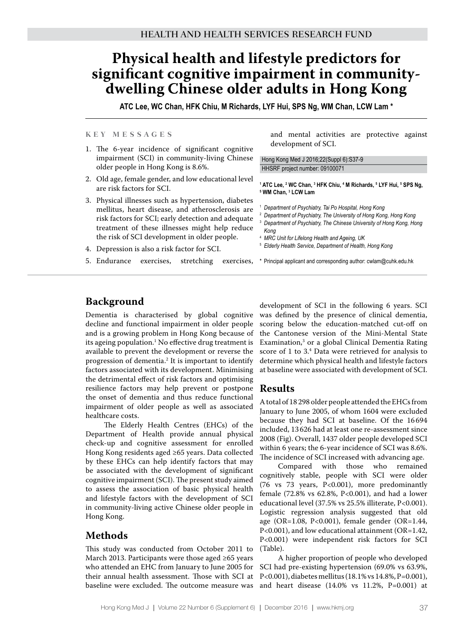# **Physical health and lifestyle predictors for significant cognitive impairment in communitydwelling Chinese older adults in Hong Kong**

**ATC Lee, WC Chan, HFK Chiu, M Richards, LYF Hui, SPS Ng, WM Chan, LCW Lam \***

#### **K e y M e s s a g e s**

- 1. The 6-year incidence of significant cognitive impairment (SCI) in community-living Chinese older people in Hong Kong is 8.6%.
- 2. Old age, female gender, and low educational level are risk factors for SCI.
- 3. Physical illnesses such as hypertension, diabetes mellitus, heart disease, and atherosclerosis are risk factors for SCI; early detection and adequate treatment of these illnesses might help reduce the risk of SCI development in older people.
- 4. Depression is also a risk factor for SCI.

and mental activities are protective against development of SCI.

Hong Kong Med J 2016;22(Suppl 6):S37-9 HHSRF project number: 09100071

<sup>5</sup> MTC Lee, <sup>2</sup> WC Chan, <sup>3</sup> HFK Chiu, <sup>4</sup> M Richards, <sup>5</sup> LYF Hui, <sup>5</sup> SPS Ng,<br><sup>5</sup> WM Chan, <sup>3</sup> LCW Lam  **WM Chan, 3 LCW Lam**

- <sup>1</sup> *Department of Psychiatry, Tai Po Hospital, Hong Kong*
- <sup>2</sup> *Department of Psychiatry, The University of Hong Kong, Hong Kong*
- <sup>3</sup> *Department of Psychiatry, The Chinese University of Hong Kong, Hong Kong*
- <sup>4</sup> *MRC Unit for Lifelong Health and Ageing, UK*
- <sup>5</sup> *Elderly Health Service, Department of Health, Hong Kong*
- 5. Endurance exercises, stretching exercises, \* Principal applicant and corresponding author: cwlam@cuhk.edu.hk

## **Background**

Dementia is characterised by global cognitive decline and functional impairment in older people and is a growing problem in Hong Kong because of its ageing population.<sup>1</sup> No effective drug treatment is available to prevent the development or reverse the progression of dementia.2 It is important to identify factors associated with its development. Minimising the detrimental effect of risk factors and optimising resilience factors may help prevent or postpone the onset of dementia and thus reduce functional impairment of older people as well as associated healthcare costs.

The Elderly Health Centres (EHCs) of the Department of Health provide annual physical check-up and cognitive assessment for enrolled Hong Kong residents aged ≥65 years. Data collected by these EHCs can help identify factors that may be associated with the development of significant cognitive impairment (SCI). The present study aimed to assess the association of basic physical health and lifestyle factors with the development of SCI in community-living active Chinese older people in Hong Kong.

## **Methods**

This study was conducted from October 2011 to March 2013. Participants were those aged ≥65 years who attended an EHC from January to June 2005 for their annual health assessment. Those with SCI at baseline were excluded. The outcome measure was

development of SCI in the following 6 years. SCI was defined by the presence of clinical dementia, scoring below the education-matched cut-off on the Cantonese version of the Mini-Mental State Examination,3 or a global Clinical Dementia Rating score of 1 to 3.<sup>4</sup> Data were retrieved for analysis to determine which physical health and lifestyle factors at baseline were associated with development of SCI.

#### **Results**

A total of 18 298 older people attended the EHCs from January to June 2005, of whom 1604 were excluded because they had SCI at baseline. Of the 16 694 included, 13 626 had at least one re-assessment since 2008 (Fig). Overall, 1437 older people developed SCI within 6 years; the 6-year incidence of SCI was 8.6%. The incidence of SCI increased with advancing age.

Compared with those who remained cognitively stable, people with SCI were older (76 vs 73 years, P<0.001), more predominantly female (72.8% vs 62.8%, P<0.001), and had a lower educational level (37.5% vs 25.5% illiterate, P<0.001). Logistic regression analysis suggested that old age (OR=1.08, P<0.001), female gender (OR=1.44, P<0.001), and low educational attainment (OR=1.42, P<0.001) were independent risk factors for SCI (Table).

A higher proportion of people who developed SCI had pre-existing hypertension (69.0% vs 63.9%, P<0.001), diabetes mellitus (18.1% vs 14.8%, P=0.001), and heart disease (14.0% vs 11.2%, P=0.001) at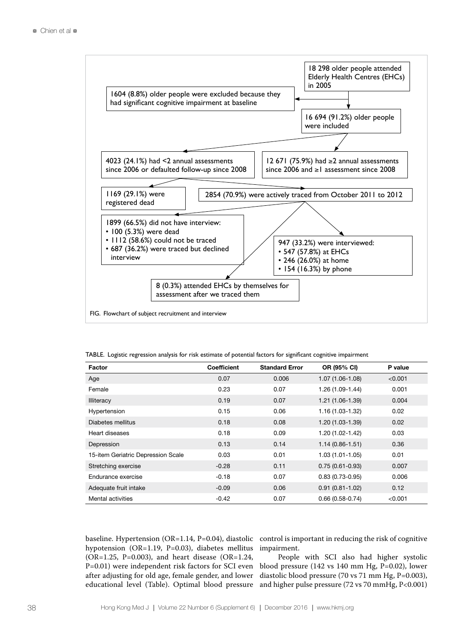

TABLE. Logistic regression analysis for risk estimate of potential factors for significant cognitive impairment

| Factor                             | <b>Coefficient</b> | <b>Standard Error</b> | OR (95% CI)         | P value |
|------------------------------------|--------------------|-----------------------|---------------------|---------|
| Age                                | 0.07               | 0.006                 | $1.07(1.06-1.08)$   | < 0.001 |
| Female                             | 0.23               | 0.07                  | $1.26(1.09-1.44)$   | 0.001   |
| <b>Illiteracy</b>                  | 0.19               | 0.07                  | $1.21(1.06-1.39)$   | 0.004   |
| Hypertension                       | 0.15               | 0.06                  | $1.16(1.03-1.32)$   | 0.02    |
| Diabetes mellitus                  | 0.18               | 0.08                  | $1.20(1.03-1.39)$   | 0.02    |
| Heart diseases                     | 0.18               | 0.09                  | $1.20(1.02 - 1.42)$ | 0.03    |
| Depression                         | 0.13               | 0.14                  | $1.14(0.86 - 1.51)$ | 0.36    |
| 15-item Geriatric Depression Scale | 0.03               | 0.01                  | $1.03(1.01 - 1.05)$ | 0.01    |
| Stretching exercise                | $-0.28$            | 0.11                  | $0.75(0.61 - 0.93)$ | 0.007   |
| Endurance exercise                 | $-0.18$            | 0.07                  | $0.83(0.73-0.95)$   | 0.006   |
| Adequate fruit intake              | $-0.09$            | 0.06                  | $0.91(0.81 - 1.02)$ | 0.12    |
| Mental activities                  | $-0.42$            | 0.07                  | $0.66(0.58-0.74)$   | < 0.001 |

hypotension (OR=1.19, P=0.03), diabetes mellitus ( $OR=1.25$ ,  $P=0.003$ ), and heart disease ( $OR=1.24$ , P=0.01) were independent risk factors for SCI even after adjusting for old age, female gender, and lower educational level (Table). Optimal blood pressure

baseline. Hypertension (OR=1.14, P=0.04), diastolic control is important in reducing the risk of cognitive impairment.

> People with SCI also had higher systolic blood pressure (142 vs 140 mm Hg, P=0.02), lower diastolic blood pressure (70 vs 71 mm Hg, P=0.003), and higher pulse pressure (72 vs 70 mmHg, P<0.001)